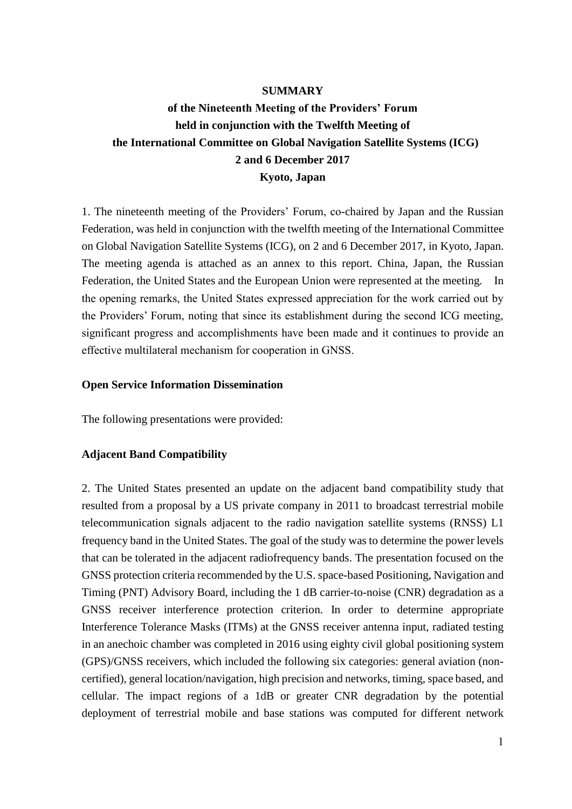#### **SUMMARY**

# **of the Nineteenth Meeting of the Providers' Forum held in conjunction with the Twelfth Meeting of the International Committee on Global Navigation Satellite Systems (ICG) 2 and 6 December 2017 Kyoto, Japan**

1. The nineteenth meeting of the Providers' Forum, co-chaired by Japan and the Russian Federation, was held in conjunction with the twelfth meeting of the International Committee on Global Navigation Satellite Systems (ICG), on 2 and 6 December 2017, in Kyoto, Japan. The meeting agenda is attached as an annex to this report. China, Japan, the Russian Federation, the United States and the European Union were represented at the meeting. In the opening remarks, the United States expressed appreciation for the work carried out by the Providers' Forum, noting that since its establishment during the second ICG meeting, significant progress and accomplishments have been made and it continues to provide an effective multilateral mechanism for cooperation in GNSS.

#### **Open Service Information Dissemination**

The following presentations were provided:

#### **Adjacent Band Compatibility**

2. The United States presented an update on the adjacent band compatibility study that resulted from a proposal by a US private company in 2011 to broadcast terrestrial mobile telecommunication signals adjacent to the radio navigation satellite systems (RNSS) L1 frequency band in the United States. The goal of the study was to determine the power levels that can be tolerated in the adjacent radiofrequency bands. The presentation focused on the GNSS protection criteria recommended by the U.S. space-based Positioning, Navigation and Timing (PNT) Advisory Board, including the 1 dB carrier-to-noise (CNR) degradation as a GNSS receiver interference protection criterion. In order to determine appropriate Interference Tolerance Masks (ITMs) at the GNSS receiver antenna input, radiated testing in an anechoic chamber was completed in 2016 using eighty civil global positioning system (GPS)/GNSS receivers, which included the following six categories: general aviation (noncertified), general location/navigation, high precision and networks, timing, space based, and cellular. The impact regions of a 1dB or greater CNR degradation by the potential deployment of terrestrial mobile and base stations was computed for different network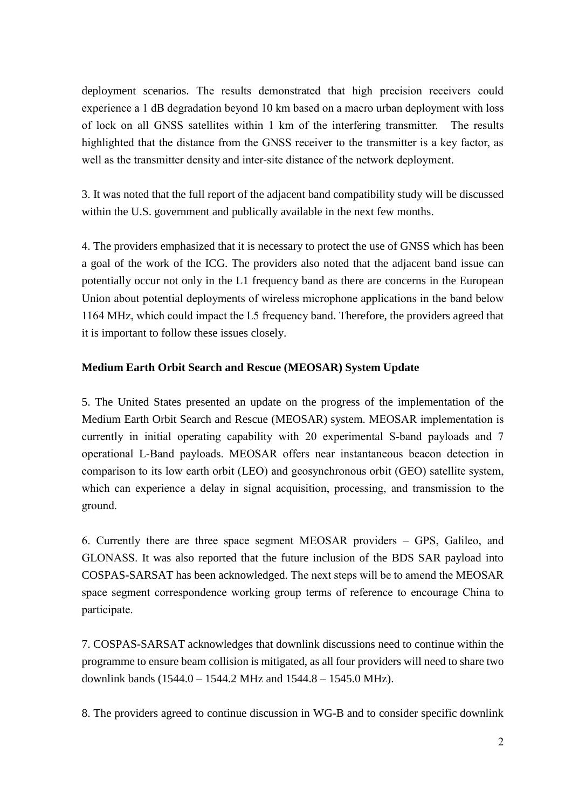deployment scenarios. The results demonstrated that high precision receivers could experience a 1 dB degradation beyond 10 km based on a macro urban deployment with loss of lock on all GNSS satellites within 1 km of the interfering transmitter. The results highlighted that the distance from the GNSS receiver to the transmitter is a key factor, as well as the transmitter density and inter-site distance of the network deployment.

3. It was noted that the full report of the adjacent band compatibility study will be discussed within the U.S. government and publically available in the next few months.

4. The providers emphasized that it is necessary to protect the use of GNSS which has been a goal of the work of the ICG. The providers also noted that the adjacent band issue can potentially occur not only in the L1 frequency band as there are concerns in the European Union about potential deployments of wireless microphone applications in the band below 1164 MHz, which could impact the L5 frequency band. Therefore, the providers agreed that it is important to follow these issues closely.

# **Medium Earth Orbit Search and Rescue (MEOSAR) System Update**

5. The United States presented an update on the progress of the implementation of the Medium Earth Orbit Search and Rescue (MEOSAR) system. MEOSAR implementation is currently in initial operating capability with 20 experimental S-band payloads and 7 operational L-Band payloads. MEOSAR offers near instantaneous beacon detection in comparison to its low earth orbit (LEO) and geosynchronous orbit (GEO) satellite system, which can experience a delay in signal acquisition, processing, and transmission to the ground.

6. Currently there are three space segment MEOSAR providers – GPS, Galileo, and GLONASS. It was also reported that the future inclusion of the BDS SAR payload into COSPAS-SARSAT has been acknowledged. The next steps will be to amend the MEOSAR space segment correspondence working group terms of reference to encourage China to participate.

7. COSPAS-SARSAT acknowledges that downlink discussions need to continue within the programme to ensure beam collision is mitigated, as all four providers will need to share two downlink bands (1544.0 – 1544.2 MHz and 1544.8 – 1545.0 MHz).

8. The providers agreed to continue discussion in WG-B and to consider specific downlink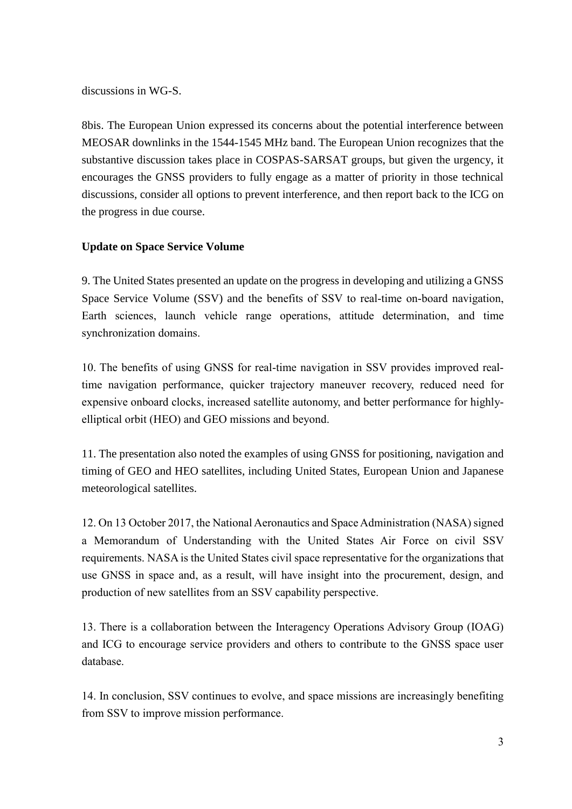discussions in WG-S.

8bis. The European Union expressed its concerns about the potential interference between MEOSAR downlinks in the 1544-1545 MHz band. The European Union recognizes that the substantive discussion takes place in COSPAS-SARSAT groups, but given the urgency, it encourages the GNSS providers to fully engage as a matter of priority in those technical discussions, consider all options to prevent interference, and then report back to the ICG on the progress in due course.

# **Update on Space Service Volume**

9. The United States presented an update on the progress in developing and utilizing a GNSS Space Service Volume (SSV) and the benefits of SSV to real-time on-board navigation, Earth sciences, launch vehicle range operations, attitude determination, and time synchronization domains.

10. The benefits of using GNSS for real-time navigation in SSV provides improved realtime navigation performance, quicker trajectory maneuver recovery, reduced need for expensive onboard clocks, increased satellite autonomy, and better performance for highlyelliptical orbit (HEO) and GEO missions and beyond.

11. The presentation also noted the examples of using GNSS for positioning, navigation and timing of GEO and HEO satellites, including United States, European Union and Japanese meteorological satellites.

12. On 13 October 2017, the National Aeronautics and Space Administration (NASA) signed a Memorandum of Understanding with the United States Air Force on civil SSV requirements. NASA is the United States civil space representative for the organizations that use GNSS in space and, as a result, will have insight into the procurement, design, and production of new satellites from an SSV capability perspective.

13. There is a collaboration between the Interagency Operations Advisory Group (IOAG) and ICG to encourage service providers and others to contribute to the GNSS space user database.

14. In conclusion, SSV continues to evolve, and space missions are increasingly benefiting from SSV to improve mission performance.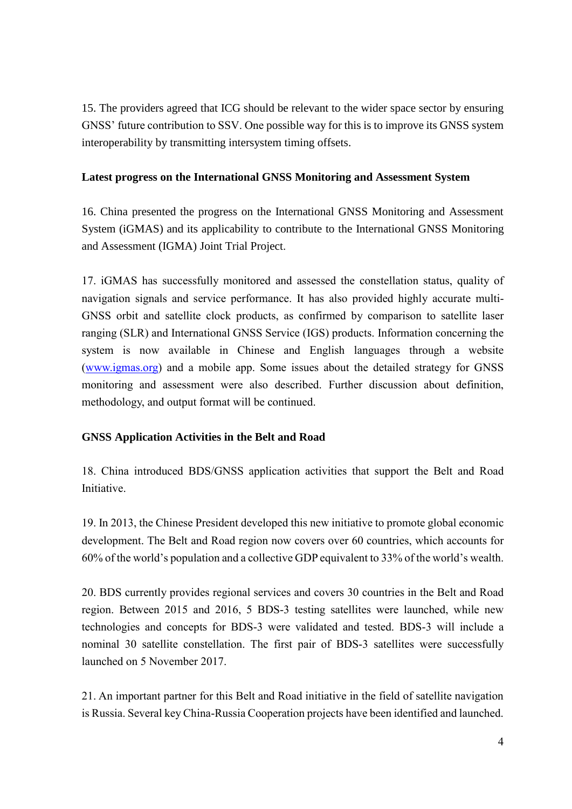15. The providers agreed that ICG should be relevant to the wider space sector by ensuring GNSS' future contribution to SSV. One possible way for this is to improve its GNSS system interoperability by transmitting intersystem timing offsets.

# **Latest progress on the International GNSS Monitoring and Assessment System**

16. China presented the progress on the International GNSS Monitoring and Assessment System (iGMAS) and its applicability to contribute to the International GNSS Monitoring and Assessment (IGMA) Joint Trial Project.

17. iGMAS has successfully monitored and assessed the constellation status, quality of navigation signals and service performance. It has also provided highly accurate multi-GNSS orbit and satellite clock products, as confirmed by comparison to satellite laser ranging (SLR) and International GNSS Service (IGS) products. Information concerning the system is now available in Chinese and English languages through a website [\(www.igmas.org\)](http://www.igmas.org/) and a mobile app. Some issues about the detailed strategy for GNSS monitoring and assessment were also described. Further discussion about definition, methodology, and output format will be continued.

# **GNSS Application Activities in the Belt and Road**

18. China introduced BDS/GNSS application activities that support the Belt and Road Initiative.

19. In 2013, the Chinese President developed this new initiative to promote global economic development. The Belt and Road region now covers over 60 countries, which accounts for 60% of the world's population and a collective GDP equivalent to 33% of the world's wealth.

20. BDS currently provides regional services and covers 30 countries in the Belt and Road region. Between 2015 and 2016, 5 BDS-3 testing satellites were launched, while new technologies and concepts for BDS-3 were validated and tested. BDS-3 will include a nominal 30 satellite constellation. The first pair of BDS-3 satellites were successfully launched on 5 November 2017.

21. An important partner for this Belt and Road initiative in the field of satellite navigation is Russia. Several key China-Russia Cooperation projects have been identified and launched.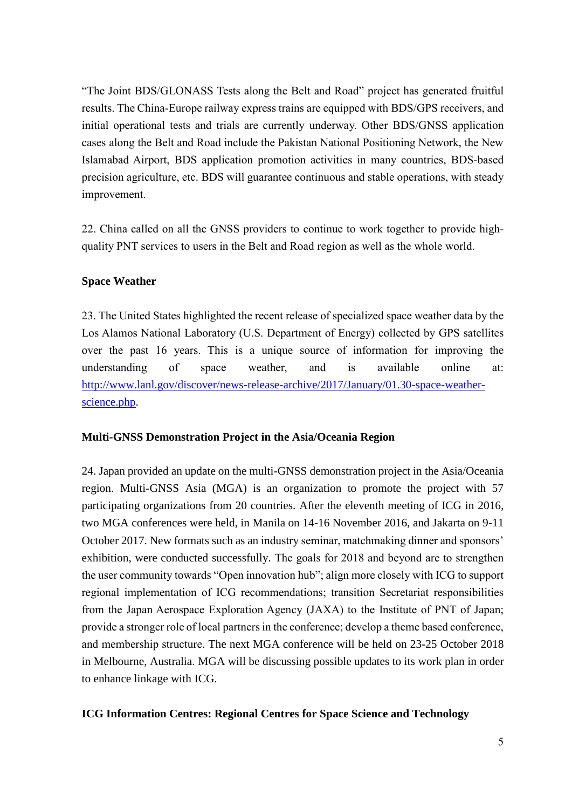"The Joint BDS/GLONASS Tests along the Belt and Road" project has generated fruitful results. The China-Europe railway express trains are equipped with BDS/GPS receivers, and initial operational tests and trials are currently underway. Other BDS/GNSS application cases along the Belt and Road include the Pakistan National Positioning Network, the New Islamabad Airport, BDS application promotion activities in many countries, BDS-based precision agriculture, etc. BDS will guarantee continuous and stable operations, with steady improvement.

22. China called on all the GNSS providers to continue to work together to provide highquality PNT services to users in the Belt and Road region as well as the whole world.

## **Space Weather**

23. The United States highlighted the recent release of specialized space weather data by the Los Alamos National Laboratory (U.S. Department of Energy) collected by GPS satellites over the past 16 years. This is a unique source of information for improving the understanding of space weather, and is available online at: [http://www.lanl.gov/discover/news-release-archive/2017/January/01.30-space-weather](http://www.lanl.gov/discover/news-release-archive/2017/January/01.30-space-weather-science.php)[science.php.](http://www.lanl.gov/discover/news-release-archive/2017/January/01.30-space-weather-science.php)

#### **Multi-GNSS Demonstration Project in the Asia/Oceania Region**

24. Japan provided an update on the multi-GNSS demonstration project in the Asia/Oceania region. Multi-GNSS Asia (MGA) is an organization to promote the project with 57 participating organizations from 20 countries. After the eleventh meeting of ICG in 2016, two MGA conferences were held, in Manila on 14-16 November 2016, and Jakarta on 9-11 October 2017. New formats such as an industry seminar, matchmaking dinner and sponsors' exhibition, were conducted successfully. The goals for 2018 and beyond are to strengthen the user community towards "Open innovation hub"; align more closely with ICG to support regional implementation of ICG recommendations; transition Secretariat responsibilities from the Japan Aerospace Exploration Agency (JAXA) to the Institute of PNT of Japan; provide a stronger role of local partners in the conference; develop a theme based conference, and membership structure. The next MGA conference will be held on 23-25 October 2018 in Melbourne, Australia. MGA will be discussing possible updates to its work plan in order to enhance linkage with ICG.

#### **ICG Information Centres: Regional Centres for Space Science and Technology**